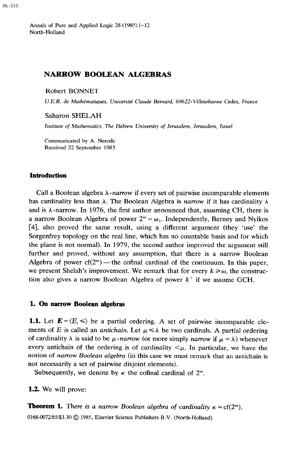Annals of Pure and Applied Logic 28 (1985) 1-12 North-Holland

# **NARROW BOOLEAN ALGEBRAS**

Robert BONNET

U.E.R. de Mathématiques, Université Claude Bernard, 69622-Villeurbanne Cedex, France

Saharon SHELAH

Institute of Mathematics, The Hebrew *University of* Jerusalem, Jerusalem, Israel

Communicated by A. Nerode Received 22 September 1983

### Introduction

Call a Boolean algebra *X-narrow* if every set of pairwise incomparable elements has cardinality less than  $\lambda$ . The Boolean Algebra is narrow if it has cardinality  $\lambda$ and is  $\lambda$ -narrow. In 1976, the first author announced that, assuming CH, there is a narrow Boolean Algebra of power  $2^{\omega} = \omega_1$ . Independently, Berney and Nyikos [4], also proved the same result, using a different argument (they 'use' the Sorgenfrey topology on the real line, which has no countable basis and for which the plane is not normal). In 1979, the second author improved the argument still further and proved, without any assumption, that there is a narrow Boolean Algebra of power  $cf(2^{\omega})$  — the cofinal cardinal of the continuum. In this paper, we present Shelah's improvement. We remark that for every  $k \geq \omega$ , the construction also gives a narrow Boolean Algebra of power *k'* if we assume GCH.

#### **1. On narrow** Boolean algebras

**1.1.** Let  $\mathbf{E} = \langle E, \leq \rangle$  be a partial ordering. A set of pairwise incomparable elements of *E* is called an *antichain*. Let  $\mu \le \lambda$  be two cardinals. A partial ordering of cardinality  $\lambda$  is said to be  $\mu$ -narrow (or more simply *narrow* if  $\mu = \lambda$ ) whenever every antichain of the ordering is of cardinality  $\lt \mu$ . In particular, we have the notion of *narrow Boolean algebra* (in this case we must remark that an antichain is not necessarily a set of pairwise disjoint elements).

Subsequently, we denote by  $\kappa$  the cofinal cardinal of  $2^{\omega}$ .

**1.2.** We will prove:

**Theorem 1.** There is a narrow Boolean algebra of cardinality  $\kappa = cf(2^{\omega})$ .

0168-0072/85/\$3.30 © 1985, Elsevier Science Publishers B.V. (North-Holland)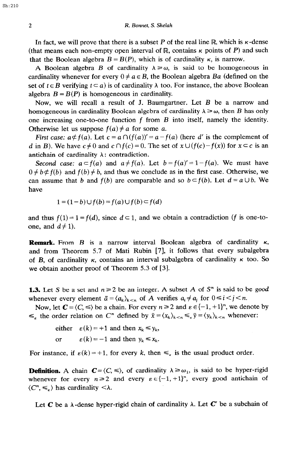In fact, we will prove that there is a subset P of the real line R, which is  $\kappa$ -dense (that means each non-empty open interval of  $\mathbb{R}$ , contains  $\kappa$  points of P) and such that the Boolean algebra  $B = B(P)$ , which is of cardinality  $\kappa$ , is narrow.

A Boolean algebra B of cardinality  $\lambda \geq \omega$ , is said to be homogeneous in cardinality whenever for every  $0 \neq a \in B$ , the Boolean algebra Ba (defined on the set of  $t \in B$  verifying  $t \subseteq a$ ) is of cardinality  $\lambda$  too. For instance, the above Boolean algebra  $B = B(P)$  is homogeneous in cardinality.

Now, we will recall a result of J. Baumgartner. Let *B* be a narrow and homogeneous in cardinality Boolean algebra of cardinality  $\lambda \geq \omega$ , then B has only one increasing one-to-one function f from *B* into itself, namely the identity. Otherwise let us suppose  $f(a) \neq a$  for some a.

*First case:*  $a \neq f(a)$ . Let  $c = a \cap (f(a))' = a - f(a)$  (here *d'* is the complement of *d* in B). We have  $c \neq 0$  and  $c \cap f(c) = 0$ . The set of  $x \cup (f(c)-f(x))$  for  $x \subseteq c$  is an antichain of cardinality  $\lambda$ : contradiction.

*Second case:*  $a \subseteq f(a)$  and  $a \neq f(a)$ . Let  $b = f(a)' = 1 - f(a)$ . We must have  $0 \neq b \neq f(b)$  and  $f(b) \neq b$ , and thus we conclude as in the first case. Otherwise, we can assume that *b* and  $f(b)$  are comparable and so  $b \subset f(b)$ . Let  $d = a \cup b$ . We have

$$
1 = (1-b) \cup f(b) = f(a) \cup f(b) \subset f(d)
$$

and thus  $f(1) = 1 = f(d)$ , since  $d \subset 1$ , and we obtain a contradiction (f is one-toone, and  $d \neq 1$ ).

**Remark.** From *B* is a narrow interval Boolean algebra of cardinality *K,*  and from Theorem 5.7 of Mati Rubin [7], it follows that every subalgebra of *B*, of cardinality  $\kappa$ , contains an interval subalgebra of cardinality  $\kappa$  too. So we obtain another proof of Theorem 5.3 of [3].

**1.3.** Let S be a set and  $n \ge 2$  be an integer. A subset A of S<sup>n</sup> is said to be *good* whenever every element  $\bar{a} = \langle a_k \rangle_{k \le n}$  of A verifies  $a_i \ne a_j$  for  $0 \le i \le j \le n$ .

Now, let  $C = \langle C, \le \rangle$  be a chain. For every  $n \ge 2$  and  $\varepsilon \in \{-1, +1\}^n$ , we denote by  $\leq_{\varepsilon}$  the order relation on C<sup>n</sup> defined by  $\bar{x} = \langle x_k \rangle_{k \leq n} \leq_{\varepsilon} \bar{y} = \langle y_k \rangle_{k \leq n}$  whenever:

either  $\varepsilon(k) = +1$  and then  $x_k \le y_k$ ,

or  $\varepsilon(k) = -1$  and then  $y_k \le x_k$ .

For instance, if  $\varepsilon(k) = +1$ , for every k, then  $\leq_{\varepsilon}$  is the usual product order.

**Definition.** A chain  $C = \langle C, \le \rangle$ , of cardinality  $\lambda \ge \omega_1$ , is said to be hyper-rigid whenever for every  $n \ge 2$  and every  $\varepsilon \in \{-1, +1\}^n$ , every good antichain of  $\langle C^n, \leq \rangle$  has cardinality  $\langle \lambda \rangle$ .

Let C be a  $\lambda$ -dense hyper-rigid chain of cardinality  $\lambda$ . Let C' be a subchain of

Sh:210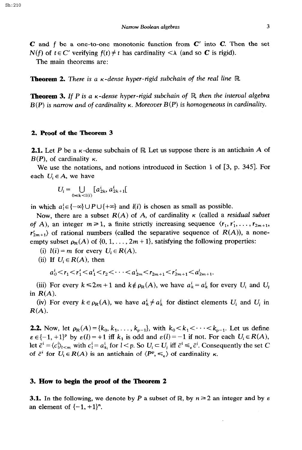$C$  and f be a one-to-one monotonic function from  $C'$  into  $C$ . Then the set  $N(f)$  of  $t \in C'$  verifying  $f(t) \neq t$  has cardinality  $\langle \lambda \rangle$  (and so C is rigid).

The main theorems are:

**Theorem 2.** There is a  $\kappa$ -dense hyper-rigid subchain of the real line R.

**Theorem 3.** If P is a  $\kappa$ -dense hyper-rigid subchain of  $\mathbb{R}$ , then the interval algebra  $B(P)$  is narrow and of cardinality  $\kappa$ . Moreover  $B(P)$  is homogeneous in cardinality.

#### 2. Proof of the Theorem 3

**2.1.** Let *P* be a  $\kappa$ -dense subchain of R Let us suppose there is an antichain A of  $B(P)$ , of cardinality  $\kappa$ .

We use the notations, and notions introduced in Section 1 of  $[3, p. 345]$ . For each  $U_i \in A$ , we have

$$
U_i = \bigcup_{0 \le k < l(i)} \big[ a_{2k}^i, a_{2k+1}^i \big[
$$

in which  $a_i^i \in \{-\infty\} \cup P \cup \{+\infty\}$  and *l(i)* is chosen as small as possible.

Now, there are a subset  $R(A)$  of A, of cardinality  $\kappa$  (called a *residual subset* of A), an integer  $m \ge 1$ , a finite strictly increasing sequence  $\langle r_1, r'_1, \ldots, r_{2m+1},$  $r'_{2m+1}$  of rational numbers (called the separative sequence of  $R(A)$ ), a noneempty subset  $\rho_R(A)$  of  $\{0, 1, \ldots, 2m+1\}$ , satisfying the following properties:

- (i)  $l(i) = m$  for every  $U_i \in R(A)$ .
- (ii) If  $U_i \in R(A)$ , then

$$
a_0^i < r_1 < r_1' < a_1^i < r_2 < \cdots < a_{2m}^i < r_{2m+1} < r_{2m+1}' < a_{2m+1}^i.
$$

(iii) For every  $k \le 2m + 1$  and  $k \notin \rho_R(A)$ , we have  $a_k^i = a_k^i$  for every  $U_i$  and  $U_i$ in *R(A).* 

(iv) For every  $k \in \rho_R(A)$ , we have  $a_k^i \neq a_k^j$  for distinct elements  $U_i$  and  $U_j$  in  $R(A)$ .

**2.2.** Now, let  $\rho_R(A) = \{k_0, k_1, \ldots, k_{p-1}\}\$ , with  $k_0 < k_1 < \cdots < k_{p-1}$ . Let us define  $\varepsilon \in \{-1,+1\}^p$  by  $\varepsilon(l) = +1$  iff  $k_1$  is odd and  $\varepsilon(l) = -1$  if not. For each  $U_i \in R(A)$ , let  $\bar{c}^i = \langle c_i^i \rangle_{l \le m}$  with  $c_i^i = a_{k_i}^i$  for  $l \le p$ . So  $U_i \subset U_j$  iff  $\bar{c}^i \le \epsilon \bar{c}^i$ . Consequently the set C of  $\bar{c}^i$  for  $U_i \in R(A)$  is an antichain of  $\langle P^p, \leq_{\varepsilon} \rangle$  of cardinality  $\kappa$ .

#### 3. **How** to begin the proof **of the Theorem** 2

**3.1.** In the following, we denote by *P* a subset of R, by  $n \ge 2$  an integer and by  $\varepsilon$ an element of  $\{-1, +1\}^n$ .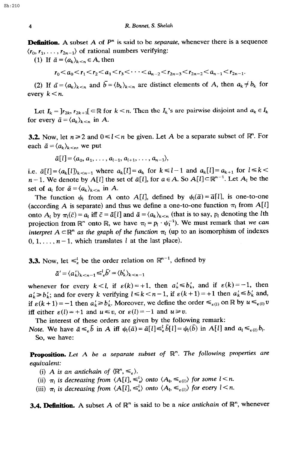**Definition.** A subset A of  $P<sup>n</sup>$  is said to be *separate*, whenever there is a sequence  $\langle r_0, r_1, \ldots, r_{2n-1} \rangle$  of rational numbers verifying

(1) If  $\bar{a} = \langle a_k \rangle_{k \le n} \in A$ , then

 $r_0 < a_0 < r_1 < r_2 < a_1 < r_3 < \cdots < a_{n-2} < r_{2n-3} < r_{2n-2} < a_{n-1} < r_{2n-1}$ .

(2) If  $\bar{a} = \langle a_k \rangle_{k \le n}$  and  $\bar{b} = \langle b_k \rangle_{k \le n}$  are distinct elements of A, then  $a_k \ne b_k$  for every  $k < n$ .

Let  $I_k = \vert r_{2k}, r_{2k+1} \vert \subset \mathbb{R}$  for  $k < n$ . Then the  $I_k$ 's are pairwise disjoint and  $a_k \in I_k$ for every  $\bar{a} = \langle a_k \rangle_{k \le n}$  in A.

**3.2.** Now, let  $n \ge 2$  and  $0 \le l \le n$  be given. Let A be a separate subset of  $\mathbb{R}^n$ . For each  $\bar{a} = \langle a_k \rangle_{k \leq n}$ , we put

$$
\bar{a}[l] = \langle a_0, a_1, \ldots, a_{l-1}, a_{l+1}, \ldots, a_{n-1} \rangle,
$$

i.e.  $\bar{a}[l] = \langle a_k[l] \rangle_{k \le n-1}$  where  $a_k[l] = a_k$  for  $k \le l-1$  and  $a_k[l] = a_{k+1}$  for  $l \le k \le l-1$  $n-1$ . We denote by  $A[l]$  the set of  $\bar{a}[l]$ , for  $a \in A$ . So  $A[l] \subset \mathbb{R}^{n-1}$ . Let  $A_l$  be the set of  $a_i$  for  $\bar{a} = \langle a_k \rangle_{k \leq n}$  in A.

The function  $\psi_1$  from A onto A[I], defined by  $\psi_1(\bar{a}) = \bar{a}[1]$ , is one-to-one (according A is separate) and thus we define a one-to-one function  $\pi_l$  from A[l] onto  $A_l$  by  $\pi_l(\bar{c}) = a_l$  iff  $\bar{c} = \bar{a}[l]$  and  $\bar{a} = \langle a_k \rangle_{k \leq n}$  (that is to say,  $p_l$  denoting the *l*th projection from  $\mathbb{R}^n$  onto  $\mathbb{R}$ , we have  $\pi_l = p_l \cdot \psi_l^{-1}$ . We must remark that we can interpret  $A \subset \mathbb{R}^n$  as the graph of the function  $\pi_1$  (up to an isomorphism of indexes  $0, 1, \ldots, n-1$ , which translates l at the last place).

**3.3.** Now, let  $\leq_k^l$  be the order relation on  $\mathbb{R}^{n-1}$ , defined by

$$
\bar{a}' = \langle a'_k \rangle_{k \leq n-1} \leq^l_{\epsilon} \bar{b}' = \langle b'_k \rangle_{k \leq n-1}
$$

whenever for every  $k < l$ , if  $\varepsilon(k) = +1$ , then  $a'_k \le b'_k$ , and if  $\varepsilon(k) = -1$ , then  $a'_k \ge b'_k$ ; and for every k verifying  $l \le k < n-1$ , if  $\varepsilon(k+1) = +1$  then  $a'_k \le b'_k$  and, if  $\varepsilon(k+1) = -1$  then  $a'_k \ge b'_k$ . Moreover, we define the order  $\leq_{\varepsilon(1)}$  on  $\mathbb R$  by  $u \leq_{\varepsilon(1)} v$ iff either  $\varepsilon(l) = +1$  and  $u \le v$ , or  $\varepsilon(l) = -1$  and  $u \ge v$ .

The interest of these orders are given by the following remark: Note. We have  $\bar{a}\leqslant_{\varepsilon}\bar{b}$  in A iff  $\psi_1(\bar{a})=\bar{a}[l]\leqslant_{\varepsilon}^l\bar{b}[l]=\psi_1(\bar{b})$  in A[l] and  $a_i\leqslant_{\varepsilon(1)} b_i$ .

*So, we* have:

Proposition. Let A *be a* separate subset of R". The following properties *are*  equivalent:

(i) A is an antichain of  $\langle \mathbb{R}^n, \leq_{\varepsilon} \rangle$ .

- (ii)  $\pi_l$  *is decreasing from*  $\langle A_l^{\dagger} \rangle \langle A_l, \leq \langle \rangle$  *onto*  $\langle A_l, \leq \langle \langle \rangle \rangle$  *for some*  $l < n$ *.*
- (iii)  $\pi_l$  is decreasing from  $\langle A[l], \leq \xi \rangle$  onto  $\langle A_l, \leq \xi(l) \rangle$  for every  $l < n$ .

**3.4. Definition.** A subset A of  $\mathbb{R}^n$  is said to be a *nice antichain* of  $\mathbb{R}^n$ , whenever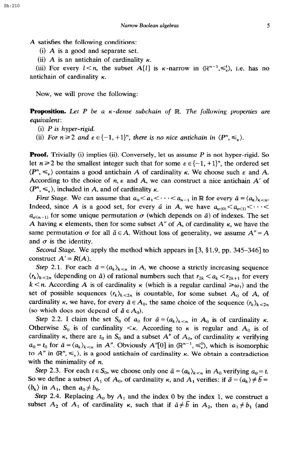A satisfies the following conditions:

(i) A is a good and separate set.

(ii) A is an antichain of cardinality  $\kappa$ .

(iii) For every  $l < n$ , the subset A[l] is  $\kappa$ -narrow in  $\mathbb{R}^{n-1}, \leq k$ , i.e. has no antichain of cardinality  $\kappa$ .

Now, we will prove the following:

**Proposition.** Let P be a  $\kappa$ -dense subchain of R. The following properties are *equivalent:* 

- (i) P *is hyper-rigid.*
- (ii) For  $n \geq 2$  and  $\varepsilon \in \{-1, +1\}^n$ , there is no nice antichain in  $\langle P^n, \leq_{\varepsilon} \rangle$ .

**Proof.** Trivially (i) implies (ii). Conversely, let us assume  $P$  is not hyper-rigid. So let  $n \ge 2$  be the smallest integer such that for some  $\varepsilon \in \{-1, +1\}^n$ , the ordered set  $\langle P^n, \leq_{\varepsilon} \rangle$  contains a good antichain *A* of cardinality *K*. We choose such  $\varepsilon$  and *A*. According to the choice of  $n, \varepsilon$  and A, we can construct a nice antichain A' of  $\langle P^n, \leq_{\varepsilon} \rangle$ , included in A, and of cardinality *K*.

*First Stage.* We can assume that  $a_0 < a_1 < \cdots < a_{n-1}$  in R for every  $\bar{a} = \langle a_k \rangle_{k \leq n}$ . Indeed, since A is a good set, for every  $\bar{a}$  in A, we have  $a_{\sigma(0)} < a_{\sigma(1)} < \cdots <$  $a_{\sigma(n-1)}$  for some unique permutation  $\sigma$  (which depends on  $\bar{a}$ ) of indexes. The set A having  $\kappa$  elements, then for some subset  $A''$  of A, of cardinality  $\kappa$ , we have the same permutation  $\sigma$  for all  $\bar{a} \in A$ . Without loss of generality, we assume  $A'' = A$ and  $\sigma$  is the identity.

*Second Stage.* We apply the method which appears in [3, §1.9, pp. 345–346] to construct  $A' = R(A)$ .

Step 2.1. For each  $\bar{a} = \langle a_k \rangle_{k \le n}$  in *A*, we choose a strictly increasing sequence  $\langle r_k\rangle_{k\leq 2n}$  (depending on  $\bar{a}$ ) of rational numbers such that  $r_{2k} < a_k < r_{2k+1}$  for every  $k < n$ . According A is of cardinality  $\kappa$  (which is a regular cardinal  $\geq \omega_1$ ) and the set of possible sequences  $\langle r_k \rangle_{k \leq 2n}$  is countable, for some subset  $A_0$  of  $A$ , of cardinality *k*, we have, for every  $\bar{a} \in A_0$ , the same choice of the sequence  $\langle r_k \rangle_{k \leq 2n}$ (so which does not depend of  $\bar{a} \in A_0$ ).

*Step 2.2.* I claim the set S<sub>0</sub> of  $a_0$  for  $\bar{a} = \langle a_k \rangle_{k \le n}$  in  $A_0$  is of cardinality  $\kappa$ . Otherwise  $S_0$  is of cardinality  $\lt k$ . According to  $\kappa$  is regular and  $A_0$  is of cardinality  $\kappa$ , there are  $t_0$  in  $S_0$  and a subset  $A''$  of  $A_0$ , of cardinality  $\kappa$  verifying  $a_0 = t_0$  for  $\bar{a} = \langle a_k \rangle_{k \le n}$  in *A"*. Obviously *A"*[0] in  $\langle \mathbb{R}^{n-1}, \leq \xi \rangle$ , which is isomorphic to  $A''$  in  $\langle \mathbb{R}^n, \leq_{\varepsilon} \rangle$ , is a good antichain of cardinality  $\kappa$ . We obtain a contradiction with the minimality of *n.* 

*Step 2.3.* For each  $t \in S_0$ , we choose only one  $\bar{a} = \langle a_k \rangle_{k \le n}$  in  $A_0$  verifying  $a_0 = t$ . So we define a subset  $A_1$  of  $A_0$ , of cardinality  $\kappa$ , and  $A_1$  verifies: if  $\bar{a} = \langle a_k \rangle \neq \bar{b} =$  $\langle b_k \rangle$  in  $A_1$ , then  $a_0 \neq b_0$ .

*Step 2.4.* Replacing  $A_0$  by  $A_1$  and the index 0 by the index 1, we construct a subset  $A_2$  of  $A_1$  of cardinality  $\kappa$ , such that if  $\bar{a} \neq \bar{b}$  in  $A_2$ , then  $a_1 \neq b_1$  (and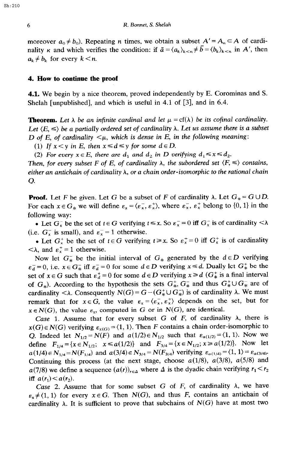moreover  $a_0 \neq b_0$ ). Repeating *n* times, we obtain a subset  $A' = A_n \subset A$  of cardinality *k* and which verifies the condition: if  $\bar{a} = \langle a_k \rangle_{k \le n} \neq \bar{b} = \langle b_k \rangle_{k \le n}$  in A', then  $a_k \neq b_k$  for every  $k < n$ .

### 4. How to continue the proof

4.1. We begin by a nice theorem, proved independently by E. Corominas and S. Shelah [unpublished], and which is useful in 4.1 of [3], and in 6.4.

**Theorem.** Let  $\lambda$  *be an infinite cardinal and let*  $\mu = cf(\lambda)$  *be its cofinal cardinality.* Let  $\langle E, \leq \rangle$  be a partially ordered set of *cardinality*  $\lambda$ . Let us assume there is a subset *D* of *E*, of cardinality  $\lt \mu$ , which is dense in *E*, in the following meaning:

(1) If  $x < y$  *in E*, *then*  $x \le d \le y$  *for some*  $d \in D$ .

(2) *For every*  $x \in E$ *, there are*  $d_1$  *and*  $d_2$  *in D verifying*  $d_1 \le x \le d_2$ *.* 

Then, for every subset F of E, of cardinality  $\lambda$ , the subordered set  $\langle F, \leq \rangle$  contains, *either an antichain of cardinality h, or a chain order-isomorphic to the rational chain 0.* 

**Proof.** Let *F* be given. Let *G* be a subset of *F* of cardinality  $\lambda$ . Let  $G_* = G \cup D$ . For each  $x \in G_*$  we will define  $\varepsilon_x = \langle \varepsilon_x^-, \varepsilon_x^+ \rangle$ , where  $\varepsilon_x^-, \varepsilon_x^+$  belong to  $\{0, 1\}$  in the following way:

• Let  $G_x^-$  be the set of  $t \in G$  verifying  $t \le x$ . So  $\varepsilon_x^- = 0$  iff  $G_x^-$  is of cardinality  $\lt \lambda$ (i.e.  $G_x^-$  is small), and  $\varepsilon_x^- = 1$  otherwise.

• Let  $G_x^+$  be the set of  $t \in G$  verifying  $t \ge x$ . So  $\varepsilon_x^+ = 0$  iff  $G_x^+$  is of cardinality  $\langle \lambda, \text{ and } \varepsilon_x^+ = 1 \text{ otherwise.}$ 

Now let  $G_*^-$  be the initial interval of  $G_*$  generated by the  $d \in D$  verifying  $\epsilon_{d}^{-}=0$ , i.e.  $x \in G_{*}^{-}$  iff  $\epsilon_{d}^{-}=0$  for some  $d \in D$  verifying  $x \le d$ . Dually let  $G_{*}^{+}$  be the set of  $x \in G$  such that  $\varepsilon_d^+ = 0$  for some  $d \in D$  verifying  $x \ge d$  ( $G^+$ ) is a final interval of  $G_*$ ). According to the hypothesis the sets  $G_*^+$ ,  $G_*^-$  and thus  $G_*^+ \cup G_*^-$  are of cardinality  $\langle \lambda$ . Consequently  $N(G) = G - (G^*_* \cup G^-_*)$  is of cardinality  $\lambda$ . We must remark that for  $x \in G$ , the value  $\varepsilon_x = \langle \varepsilon_x^-, \varepsilon_x^+ \rangle$  depends on the set, but for  $x \in N(G)$ , the value  $\varepsilon_x$ , computed in G or in  $N(G)$ , are identical.

Case 1. Assume that for every subset G of  $F$ , of cardinality  $\lambda$ , there is  $x(G) \in N(G)$  verifying  $\varepsilon_{x(G)} = \langle 1, 1 \rangle$ . Then *F* contains a chain order-isomorphic to Q. Indeed let  $N_{1/2} = N(F)$  and  $a(1/2) \in N_{1/2}$  such that  $\varepsilon_{a(1/2)} = (1, 1)$ . Now we define  $F_{1/4} = \{x \in N_{1/2}; x \le a(1/2)\}$  and  $F_{3/4} = \{x \in N_{1/2}; x \ge a(1/2)\}$ . Now let  $a(1/4) \in N_{1/4} = N(F_{1/4})$  and  $a(3/4) \in N_{3/4} = N(F_{3/4})$  verifying  $\varepsilon_{a(1/4)} = \langle 1, 1 \rangle = \varepsilon_{a(3/4)}$ . Continuing this process (at the next stage, choose  $a(1/8)$ ,  $a(3/8)$ ,  $a(5/8)$  and  $a(7/8)$  we define a sequence  $(a(r))_{r \in \Delta}$  where  $\Delta$  is the dyadic chain verifying  $r_1 < r_2$ iff  $a(r_1) < a(r_2)$ .

*Case 2.* Assume that for some subset G of  $F$ , of cardinality  $\lambda$ , we have  $\varepsilon_x \neq \langle 1,1 \rangle$  for every  $x \in G$ . Then  $N(G)$ , and thus *F*, contains an antichain of cardinality  $\lambda$ . It is sufficient to prove that subchains of  $N(G)$  have at most two

Sh:210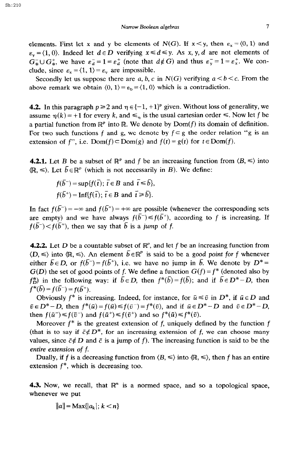elements. First let x and y be elements of  $N(G)$ . If  $x < y$ , then  $\varepsilon_x = \langle 0, 1 \rangle$  and  $\varepsilon_y = \langle 1, 0 \rangle$ . Indeed let  $d \in D$  verifying  $x \le d \le y$ . As x, y, d are not elements of  $G_{*}^{-} \cup G_{*}^{+}$ , we have  $\varepsilon_{d}^{-} = 1 = \varepsilon_{d}^{+}$  (note that  $d \notin G$ ) and thus  $\varepsilon_{y}^{-} = 1 = \varepsilon_{x}^{+}$ . We conclude, since  $\varepsilon_x = \langle 1, 1 \rangle = \varepsilon_y$  are impossible.

Secondly let us suppose there are a, b, c in  $N(G)$  verifying  $a \le b \le c$ . From the above remark we obtain  $(0, 1) = \varepsilon_b = \langle 1, 0 \rangle$  which is a contradiction.

**4.2.** In this paragraph  $p \ge 2$  and  $\eta \in \{-1, +1\}^p$  given. Without loss of generality, we assume  $\eta(k) = +1$  for every k, and  $\leq_{\eta}$  is the usual cartesian order  $\leq$ . Now let f be a partial function from  $\mathbb{R}^p$  into  $\mathbb{R}$ . We denote by  $Dom(f)$  its domain of definition. For two such functions f and g, we denote by  $f \subseteq g$  the order relation "g is an extension of f", i.e.  $Dom(f) \subset Dom(g)$  and  $f(t) = g(t)$  for  $t \in Dom(f)$ .

**4.2.1.** Let B be a subset of  $\mathbb{R}^p$  and f be an increasing function from  $\langle B, \leq \rangle$  into  $\langle \mathbb{R}, \le \rangle$ . Let  $\bar{b} \in \mathbb{R}^p$  (which is not necessarily in *B*). We define:

$$
f(\bar{b}^-) = \sup\{f(\bar{t}); \ \bar{t} \in B \text{ and } \ \bar{t} \leq \bar{b}\},
$$
  
 $f(\bar{b}^+) = \inf\{f(\bar{t}); \ \bar{t} \in B \text{ and } \ \bar{t} \geq \bar{b}\}.$ 

In fact  $f(\bar{b}^-) = -\infty$  and  $f(\bar{b}^+) = +\infty$  are possible (whenever the corresponding sets are empty) and we have always  $f(\bar{b}^{-}) \leq f(\bar{b}^{+})$ , according to f is increasing. If  $f(\overline{b}) < f(\overline{b}^+)$ , then we say that  $\overline{b}$  is a jump of f.

**4.2.2.** Let D be a countable subset of  $\mathbb{R}^p$ , and let f be an increasing function from  $\langle D, \leq \rangle$  into  $\langle \mathbb{R}, \leq \rangle$ . An element  $\overline{b} \in \mathbb{R}^p$  is said to be a good point for f whenever either  $\bar{b} \in D$ , or  $f(\bar{b}^{-}) = f(\bar{b}^{+})$ , i.e. we have no jump in  $\bar{b}$ . We denote by  $D^* =$  $G(D)$  the set of good points of f. We define a function  $G(f) = f^*$  (denoted also by  $f_D^*$ ) in the following way: if  $\bar{b} \in D$ , then  $f^*(\bar{b}) = f(\bar{b})$ ; and if  $\bar{b} \in D^* - D$ , then  $f^*(\bar{b}) = f(\bar{b}^-) = f(\bar{b}^+).$ 

Obviously  $f^*$  is increasing. Indeed, for instance, for  $\bar{u} \leq \bar{v}$  in  $D^*$ , if  $\bar{u} \in D$  and  $\bar{v} \in D^* - D$ , then  $f^*(\bar{u}) = f(\bar{u}) \leq f(\bar{v}) = f^*(\bar{v})$ , and if  $\bar{u} \in D^* - D$  and  $\bar{v} \in D^* - D$ , then  $f(\bar{u}^-) \leq f(\bar{v}^-)$  and  $f(\bar{u}^+) \leq f(\bar{v}^+)$  and so  $f^*(\bar{u}) \leq f^*(\bar{v})$ .

Moreover  $f^*$  is the greatest extension of f, uniquely defined by the function f (that is to say if  $\bar{c} \notin D^*$ , for an increasing extension of f, we can choose many values, since  $\bar{c} \notin D$  and  $\bar{c}$  is a jump of f). The increasing function is said to be the *entire extension of f.* 

Dually, if f is a decreasing function from  $\langle B, \leq \rangle$  into  $\langle \mathbb{R}, \leq \rangle$ , then f has an entire extension  $f^*$ , which is decreasing too.

**4.3.** Now, we recall, that  $\mathbb{R}^n$  is a normed space, and so a topological space, whenever we put

$$
||a|| = \text{Max}\{|a_k|; k < n\}
$$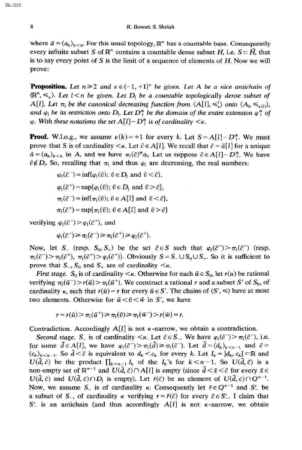where  $\bar{a} = \langle a_k \rangle_{k \leq n}$ . For this usual topology,  $\mathbb{R}^n$  has a countable base. Consequently every infinite subset S of  $\mathbb{R}^n$  contains a countable dense subset H, i.e.  $S \subseteq \overline{H}$ , that is to say every point of S is the limit of a sequence of elements of *H. Now we* will prove:

**Proposition.** Let  $n \ge 2$  and  $\epsilon \in \{-1, +1\}^n$  be given. Let A be a nice antichain of  $\langle \mathbb{R}^n, \leq_{\varepsilon} \rangle$ . Let  $l < n$  be given. Let  $D_l$  be a countable topologically dense subset of *A*[*l*]. Let  $\pi_l$  be the canonical decreasing function from  $\langle A_l^{\dagger} \rangle$ ,  $\leq_k^l$  onto  $\langle A_l, \leq_{\epsilon(l)} \rangle$ , *and*  $\varphi$ <sub>*l</sub> be its restriction onto D<sub>l</sub>. Let D<sup>\*</sup><sub><i>l*</sub></sub> *be the domain of the entire extension*  $\varphi$ <sup>\*</sup>*i of*</sub>  $\varphi$ *. With these notations the set A[l] - D<sup>\*</sup><sub><i>i*</sub> is of cardinality  $\lt$ <sub>*K*</sub>.

**Proof.** W.l.o.g., we assume  $\varepsilon(k) = +1$  for every k. Let  $S = A[l] - D_l^*$ . We must prove that S is of cardinality  $\lt k$ . Let  $\bar{c} \in A[t]$ . We recall that  $\bar{c} = \bar{a}[t]$  for a unique  $\bar{a} = \langle a_k \rangle_{k \le n}$  in A, and we have  $\pi_i(\bar{c})^* a_i$ . Let us suppose  $\bar{c} \in A[i]-D_i^*$ . We have  $\bar{c} \notin D_l$ . So, recalling that  $\pi_l$  and thus  $\varphi_l$  are decreasing, the real numbers:

$$
\varphi_l(\bar{c}^-) = \inf{\varphi_l(\bar{v}); \ \bar{v} \in D_l \text{ and } \bar{v} < \bar{c}},
$$
\n
$$
\varphi_l(\bar{c}^+) = \sup{\varphi_l(\bar{v}); \ \bar{v} \in D_l \text{ and } \bar{v} > \bar{c}},
$$
\n
$$
\pi_l(\bar{c}^-) = \inf{\pi_l(\bar{v}); \ \bar{v} \in A[l] \text{ and } \bar{v} < \bar{c}},
$$
\n
$$
\pi_l(\bar{c}^+) = \sup{\pi_l(\bar{v}); \ \bar{v} \in A[l] \text{ and } \bar{v} > \bar{c}}
$$

verifying  $\varphi_l(\bar{c}^-) > \varphi_l(\bar{c}^+)$ , and

$$
\varphi_l(\bar{c}^-) \geq \pi_l(\bar{c}^-) \geq \pi_l(\bar{c}^+) \geq \varphi_l(\bar{c}^+).
$$

Now, let S<sub>-</sub> (resp.  $S_0$ ,  $S_+$ ) be the set  $\bar{c} \in S$  such that  $\varphi_l(\bar{c}^-) > \pi_l(\bar{c}^-)$  (resp.  $\pi_1(\bar{c}^-)>\pi_1(\bar{c}^+), \pi_1(\bar{c}^+)> \varphi_1(\bar{c}^+)$ . Obviously  $S=S_- \cup S_0 \cup S_+$ . So it is sufficient to prove that  $S_-, S_0$  and  $S_+$  are of cardinality  $\lt_K$ .

*First stage.*  $S_0$  is of cardinality  $\lt k$ . Otherwise for each  $\bar{u} \in S_0$ , let  $r(u)$  be rational verifying  $\pi_1(\bar{u}^-) > r(\bar{u}) > \pi_1(\bar{u}^+)$ . We construct a rational r and a subset *S'* of *S*<sub>0</sub>, of cardinality  $\kappa$ , such that  $r(\bar{u}) = r$  for every  $\bar{u} \in S'$ . The chains of  $\langle S', \leq \rangle$  have at most two elements. Otherwise for  $\bar{u} < \bar{v} < \bar{w}$  in S', we have

$$
r = r(\bar{u}) > \pi_1(\bar{u}^+) \ge \pi_1(\bar{v}) \ge \pi_1(\bar{w}^-) > r(\bar{w}) = r.
$$

Contradiction. Accordingly  $A[l]$  is not  $\kappa$ -narrow, we obtain a contradiction.

*Second stage.* S<sub>-</sub> is of cardinality  $\lt$ *k*. Let  $\bar{c} \in S_-\$ . We have  $\varphi_1(\bar{c}^-) > \pi_1(\bar{c}^-)$ , i.e. for some  $\bar{d} \in A[l]$ , we have  $\varphi_1(\bar{c}^-) > \pi_1(\bar{d}) \ge \pi_1(\bar{c}^-)$ . Let  $\bar{d} = \langle d_k \rangle_{k \le n-1}$  and  $\bar{c} =$  $\langle c_k \rangle_{k \leq n-1}$ . So  $\tilde{d} < \bar{c}$  is equivalent to  $d_k < c_k$  for every k. Let  $I_k = ]d_k, c_k[ \subset \mathbb{R}$  and  $U(\bar{d}, \bar{c})$  be the product  $\prod_{k \leq n-1} I_k$  of the  $I_k$ 's for  $k \leq n-1$ . So  $U(\bar{d}, \bar{c})$  is a non-empty set of  $\mathbb{R}^{n-1}$  and  $U(\bar{d}, \bar{c}) \cap A[l]$  is empty (since  $\bar{d} < \bar{x} < \bar{c}$  for every  $\bar{x} \in \bar{c}$  $U(\bar{d}, \bar{c})$  and  $U(\bar{d}, \bar{c}) \cap D_l$  is empty). Let  $\bar{r}(\bar{c})$  be an element of  $U(\bar{d}, \bar{c}) \cap Q^{n-1}$ . Now, we assume S<sub>-</sub> is of cardinality  $\kappa$ . Consequently let  $\bar{r} \in Q^{n-1}$  and S' be a subset of S<sub>n</sub>, of cardinality  $\kappa$  verifying  $r = \bar{r}(\bar{c})$  for every  $\bar{c} \in S'$ . I claim that  $S'$  is an antichain (and thus accordingly  $A[l]$  is not  $\kappa$ -narrow, we obtain

Sh:210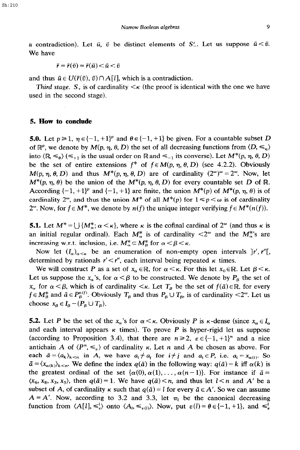$$
\bar{r} = \bar{r}(\bar{v}) = \bar{r}(\bar{u}) < \bar{u} < \bar{v}
$$

and thus  $\bar{u} \in U(\bar{r}(\bar{v}), \bar{v}) \cap A[l]$ , which is a contradiction.

*Third stage.*  $S_{+}$  is of cardinality  $\lt$   $\lt$  (the proof is identical with the one we have used in the second stage).

#### **5. How to conclude**

**5.0.** Let  $p \ge 1$ ,  $p \in \{-1, +1\}^p$  and  $\theta \in \{-1, +1\}$  be given. For a countable subset D of  $\mathbb{R}^p$ , we denote by  $M(p, \eta, \theta, D)$  the set of all decreasing functions from  $\langle D, \leq_n \rangle$ into  $\langle \mathbb{R} \leq_{\theta} \rangle$  ( $\leq_{+1}$  is the usual order on  $\mathbb{R}$  and  $\leq_{-1}$  its converse). Let  $M^*(p, \eta, \theta, D)$ be the set of entire extensions  $f^*$  of  $f \in M(p, \eta, \theta, D)$  (see 4.2.2). Obviously  $M(p, \eta, \theta, D)$  and thus  $M^*(p, \eta, \theta, D)$  are of cardinality  $(2^{\omega})^{\omega} = 2^{\omega}$ . Now, let  $M^*(p, \eta, \theta)$  be the union of the  $M^*(p, \eta, \theta, D)$  for every countable set D of R. According  $\{-1, +1\}^p$  and  $\{-1, +1\}$  are finite, the union  $M^*(p)$  of  $M^*(p, \eta, \theta)$  is of cardinality  $2^{\omega}$ , and thus the union  $M^*$  of all  $M^*(p)$  for  $1 \leq p < \omega$  is of cardinality 2<sup>o</sup>. Now, for  $f \in M^*$ , we denote by  $n(f)$  the unique integer verifying  $f \in M^*(n(f))$ .

**5.1.** Let  $M^* = \bigcup \{M^*_{\alpha}; \alpha < \kappa\}$ , where  $\kappa$  is the cofinal cardinal of  $2^{\omega}$  (and thus  $\kappa$  is an initial regular ordinal). Each  $M_{\alpha}^{*}$  is of cardinality  $\langle 2^{\omega} \rangle$  and the  $M_{\alpha}^{*}$ 's are increasing w.r.t. inclusion, i.e.  $M_{\alpha}^* \subset M_{\beta}^*$  for  $\alpha < \beta < \kappa$ .

Now let  $(I_{\alpha})_{\alpha \leq \kappa}$  be an enumeration of non-empty open intervals  $]r', r''[$ , determined by rationals  $r' < r''$ , each interval being repeated  $\kappa$  times.

We will construct P as a set of  $x_{\alpha} \in \mathbb{R}$ , for  $\alpha \leq \kappa$ . For this let  $x_0 \in \mathbb{R}$ . Let  $\beta \leq \kappa$ . Let us suppose the  $x_{\alpha}$ 's, for  $\alpha < \beta$  to be constructed. We denote by  $P_{\beta}$  the set of  $x_{\alpha}$  for  $\alpha < \beta$ , which is of cardinality  $\lt \kappa$ . Let  $T_{\beta}$  be the set of  $f(\bar{a}) \in \mathbb{R}$ , for every  $f \in M^*_\beta$  and  $\bar{a} \in P^{n(f)}_\beta$ . Obviously  $T_\beta$  and thus  $P_\beta \cup T_\beta$ , is of cardinality <2<sup>o</sup>. Let us choose  $x_a \in I_a - (P_a \cup T_a)$ .

**5.2.** Let P be the set of the  $x_\alpha$ 's for  $\alpha < \kappa$ . Obviously P is  $\kappa$ -dense (since  $x_\alpha \in I_\alpha$ and each interval appears  $\kappa$  times). To prove *P* is hyper-rigid let us suppose (according to Proposition 3.4), that there are  $n \ge 2$ ,  $\varepsilon \in \{-1, +1\}^n$  and a nice antichain A of  $\langle P^n, \leq_{\varepsilon} \rangle$  of cardinality  $\kappa$ . Let n and A be chosen as above. For each  $\bar{a} = \langle a_k \rangle_{k \le n}$  in A, we have  $a_i \ne a_j$  for  $i \ne j$  and  $a_i \in P$ , i.e.  $a_i = x_{\alpha(i)}$ . So  $\bar{a} = \langle x_{\alpha(k)} \rangle_{k \leq n}$ . We define the index  $q(\bar{a})$  in the following way:  $q(\bar{a}) = k$  iff  $\alpha(k)$  is the greatest ordinal of the set  $\{\alpha(0), \alpha(1), \ldots, \alpha(n-1)\}\)$ . For instance if  $\bar{a} =$  $(x_6, x_8, x_3, x_5)$ , then  $q(\bar{a}) = 1$ . We have  $q(\bar{a}) \le n$ , and thus let  $l \le n$  and A' be a subset of A, of cardinality  $\kappa$  such that  $q(\bar{a}) = l$  for every  $\bar{a} \in A'$ . So we can assume  $A = A'$ . Now, according to 3.2 and 3.3, let  $\pi_1$  be the canonical decreasing function from  $\langle A[l], \leqslant_{\epsilon}^{l} \rangle$  onto  $\langle A_{l}, \leqslant_{\epsilon(l)} \rangle$ . Now, put  $\epsilon(l) = \theta \in \{-1, +1\}$ , and  $\leqslant_{\epsilon}^{l}$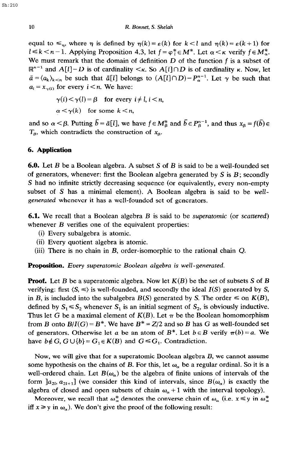equal to  $\leq_{\eta}$ , where  $\eta$  is defined by  $\eta(k) = \varepsilon(k)$  for  $k < l$  and  $\eta(k) = \varepsilon(k+1)$  for  $l \le k < n-1$ . Applying Proposition 4.3, let  $f = \varphi_l^* \in M^*$ . Let  $\alpha < \kappa$  verify  $f \in M_\alpha^*$ . We must remark that the domain of definition  $D$  of the function  $f$  is a subset of  $\mathbb{R}^{n-1}$  and  $A[l]-D$  is of cardinality  $\lt_{\kappa}$ . So  $A[l]\cap D$  is of cardinality  $\kappa$ . Now, let  $\bar{a} = \langle a_k \rangle_{k \le n}$  be such that  $\bar{a}[l]$  belongs to  $(A[l] \cap D) - P_{\alpha}^{n-1}$ . Let  $\gamma$  be such that  $a_i = x_{\gamma(i)}$  for every  $i \leq n$ . We have:

$$
\gamma(i) < \gamma(l) = \beta \quad \text{for every } i \neq l, i < n,
$$
\n
$$
\alpha < \gamma(k) \quad \text{for some } k < n,
$$

and so  $\alpha < \beta$ . Putting  $\bar{b} = \bar{a}[l]$ , we have  $f \in M^*_{\beta}$  and  $\bar{b} \in P^{n-1}_{\beta}$ , and thus  $x_{\beta} = f(\bar{b}) \in$  $T_{\beta}$ , which contradicts the construction of  $x_{\beta}$ .

## 6. **Application**

6.0. Let *B* be a Boolean algebra. A subset S of *B* is said to be a well-founded set of generators, whenever: first the Boolean algebra generated by S is *B* ; secondly S had no infinite strictly decreasing sequence (or equivalently, every non-empty subset of S has a minimal element). A Boolean algebra is said to be well*generated* whenever it has a well-founded set of generators.

6.1. We recall that a Boolean algebra *B* is said to be *superatomic (or scattered)*  whenever *B* verifies one of the equivalent properties:

- (i) Every subalgebra is atomic.
- (ii) Every quotient algebra is atomic.
- (iii) There is no chain in *B,* order-isomorphic to the rational chain Q.

Proposition. *Every superatomic Boolean algebra is well-generated.* 

Proof. Let *B* be a superatomic algebra. Now let *K(B)* be the set of subsets S of *B*  verifying: first  $\langle S, \leq \rangle$  is well-founded, and secondly the ideal  $I(S)$  generated by S, in *B*, is included into the subalgebra  $B(S)$  generated by *S*. The order  $\leq$  on  $K(B)$ , defined by  $S_1 \leq S_2$  whenever  $S_1$  is an initial segment of  $S_2$ , is obviously inductive. Thus let G be a maximal element of  $K(B)$ . Let  $\pi$  be the Boolean homomorphism from B onto  $B/I(G) = B^*$ . We have  $B^* = Z/2$  and so B has G as well-founded set of generators. Otherwise let *a* be an atom of  $B^*$ . Let  $b \in B$  verify  $\pi(b) = a$ . We have  $b \notin G$ ,  $G \cup \{b\} = G_1 \in K(B)$  and  $G \leq G_1$ . Contradiction.

Now, we will give that for a superatomic Boolean algebra *B, we* cannot assume some hypothesis on the chains of *B*. For this, let  $\omega_{\alpha}$  be a regular ordinal. So it is a well-ordered chain. Let  $B(\omega_{\alpha})$  be the algebra of finite unions of intervals of the form  $a_{2l}, a_{2l+1}$  (we consider this kind of intervals, since  $B(\omega_{\alpha})$  is exactly the algebra of closed and open subsets of chain  $\omega_{\alpha} + 1$  with the interval topology).

Moreover, we recall that  $\omega_{\alpha}^*$  denotes the converse chain of  $\omega_{\alpha}$  (i.e.  $x \le y$  in  $\omega_{\alpha}^*$ ) iff  $x \geq y$  in  $\omega_{\alpha}$ ). We don't give the proof of the following result: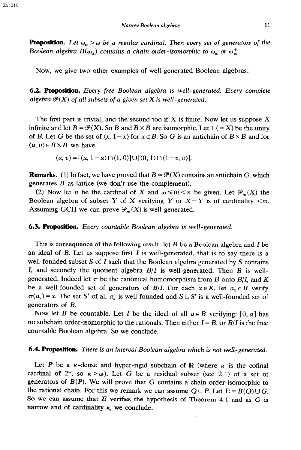**Proposition.** Let  $\omega_{\alpha} > \omega$  be a regular cardinal. Then every set of generators of the *Boolean algebra*  $B(\omega_\alpha)$  contains a chain order-isomorphic to  $\omega_\alpha$  or  $\omega^*_\alpha$ .

Now, we give two other examples of well-generated Boolean algebras:

6.2. **Proposition.** *Every free Boolean algebra is well-generated. Every complete algebra*  $\mathcal{P}(X)$  of all subsets of a given set X is well-generated.

The first part is trivial, and the second too if  $X$  is finite. Now let us suppose  $X$ infinite and let  $B = \mathcal{P}(X)$ . So *B* and  $B \times B$  are isomorphic. Let 1 (= X) be the unity of *B*. Let *G* be the set of  $\langle x, 1-x \rangle$  for  $x \in B$ . So *G* is an antichain of  $B \times B$  and for  $\langle u, v \rangle \in B \times B$  we have

 $\langle u, v \rangle = [\langle u, 1-u \rangle \cap \langle 1, 0 \rangle] \cup [\langle 0, 1 \rangle \cap \langle 1-v, v \rangle].$ 

**Remarks.** (1) In fact, we have proved that  $B = \mathcal{P}(X)$  contains an antichain G, which generates *B* as lattice (we don't use the complement).

(2) Now let *n* be the cardinal of X and  $\omega \leq m < n$  be given. Let  $\mathcal{P}_m(X)$  the Boolean algebra of subset Y of X verifying Y or  $X - Y$  is of cardinality  $\leq m$ . Assuming GCH we can prove  $\mathcal{P}_m(X)$  is well-generated.

### 6.3. **Proposition.** *Every countable Boolean algebra is well-generated.*

This is consequence of the following result: let *B* be a Boolean algebra and I be an ideal of B. Let us suppose first I is well-generated, that is to say there is a well-founded subset S of I such that the Boolean algebra generated by S contains I, and secondly the quotient algebra *B/I* is well-generated. Then *B* is wellgenerated. Indeed let  $\pi$  be the canonical homomorphism from *B* onto *B*/*I*, and *K* be a well-founded set of generators of *B*/*I*. For each  $x \in K$ , let  $a_x \in B$  verify  $\pi(a_x) = x$ . The set S' of all  $a_x$  is well-founded and  $S \cup S'$  is a well-founded set of generators of *B.* 

Now let *B* be countable. Let *I* be the ideal of all  $a \in B$  verifying: [0, a] has no subchain order-isomorphic to the rationals. Then either  $I = B$ , or  $B/I$  is the free countable Boolean algebra. So we conclude.

#### 6.4. **Proposition.** *There is an interval Boolean algebra which is not well-generated.*

Let *P* be a  $\kappa$ -dense and hyper-rigid subchain of R (where  $\kappa$  is the cofinal cardinal of  $2^{\omega}$ , so  $\kappa > \omega$ ). Let G be a residual subset (see 2.1) of a set of generators of  $B(P)$ . We will prove that G contains a chain order-isomorphic to the rational chain. For this we remark we can assume  $Q \subset P$ . Let  $E = B(Q) \cup G$ . So we can assume that *E verifies* the hypothesis of Theorem 4.1 and as G is narrow and of cardinality *K, we* conclude.